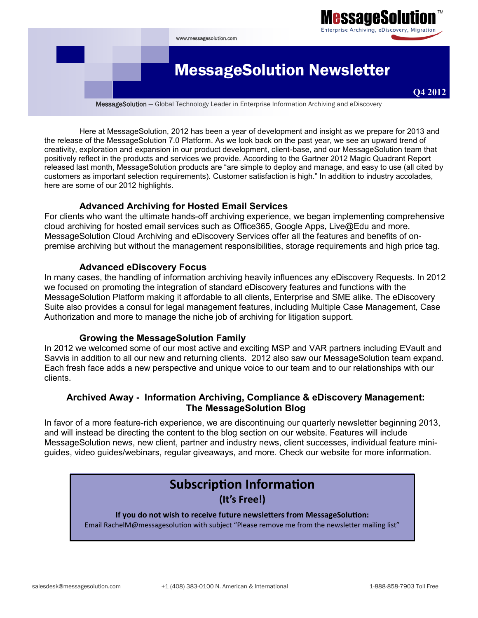

Here at MessageSolution, 2012 has been a year of development and insight as we prepare for 2013 and the release of the MessageSolution 7.0 Platform. As we look back on the past year, we see an upward trend of creativity, exploration and expansion in our product development, client-base, and our MessageSolution team that positively reflect in the products and services we provide. According to the Gartner 2012 Magic Quadrant Report released last month, MessageSolution products are "are simple to deploy and manage, and easy to use (all cited by customers as important selection requirements). Customer satisfaction is high." In addition to industry accolades, here are some of our 2012 highlights.

#### **Advanced Archiving for Hosted Email Services**

For clients who want the ultimate hands-off archiving experience, we began implementing comprehensive cloud archiving for hosted email services such as Office365, Google Apps, Live@Edu and more. MessageSolution Cloud Archiving and eDiscovery Services offer all the features and benefits of onpremise archiving but without the management responsibilities, storage requirements and high price tag.

### **Advanced eDiscovery Focus**

In many cases, the handling of information archiving heavily influences any eDiscovery Requests. In 2012 we focused on promoting the integration of standard eDiscovery features and functions with the MessageSolution Platform making it affordable to all clients, Enterprise and SME alike. The eDiscovery Suite also provides a consul for legal management features, including Multiple Case Management, Case Authorization and more to manage the niche job of archiving for litigation support.

#### **Growing the MessageSolution Family**

In 2012 we welcomed some of our most active and exciting MSP and VAR partners including EVault and Savvis in addition to all our new and returning clients. 2012 also saw our MessageSolution team expand. Each fresh face adds a new perspective and unique voice to our team and to our relationships with our clients.

### **Archived Away - Information Archiving, Compliance & eDiscovery Management: The MessageSolution Blog**

In favor of a more feature-rich experience, we are discontinuing our quarterly newsletter beginning 2013, and will instead be directing the content to the blog section on our website. Features will include MessageSolution news, new client, partner and industry news, client successes, individual feature miniguides, video guides/webinars, regular giveaways, and more. Check our website for more information.

# **Subscription Information**

**(It's Free!)**

#### **If you do not wish to receive future newsletters from MessageSolution:**

Email RachelM@messagesolution with subject "Please remove me from the newsletter mailing list"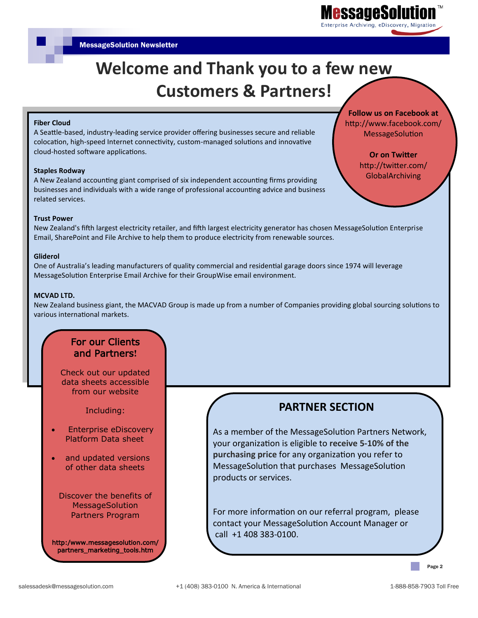

# **Welcome and Thank you to a few new Customers & Partners!**

#### **Fiber Cloud**

A Seattle-based, industry-leading service provider offering businesses secure and reliable colocation, high-speed Internet connectivity, custom-managed solutions and innovative cloud-hosted software applications.

#### **Staples Rodway**

A New Zealand accounting giant comprised of six independent accounting firms providing businesses and individuals with a wide range of professional accounting advice and business related services.

**Trust Power** 

New Zealand's fifth largest electricity retailer, and fifth largest electricity generator has chosen MessageSolution Enterprise Email, SharePoint and File Archive to help them to produce electricity from renewable sources.

#### **Gliderol**

One of Australia's leading manufacturers of quality commercial and residential garage doors since 1974 will leverage MessageSolution Enterprise Email Archive for their GroupWise email environment.

#### **MCVAD LTD.**

New Zealand business giant, the MACVAD Group is made up from a number of Companies providing global sourcing solutions to various international markets.

### For our Clients and Partners**!**

Check out our updated data sheets accessible from our website

Including:

- Enterprise eDiscovery Platform Data sheet
- and updated versions of other data sheets

Discover the benefits of **MessageSolution** Partners Program

http:/www.messagesolution.com/ partners\_marketing\_tools.htm

### **PARTNER SECTION**

As a member of the MessageSolution Partners Network, your organization is eligible to **receive 5-10% of the purchasing price** for any organization you refer to MessageSolution that purchases MessageSolution products or services.

For more information on our referral program, please contact your MessageSolution Account Manager or call +1 408 383-0100.

**Follow us on Facebook at** http://www.facebook.com/ MessageSolution

> **Or on Twitter**  http://twitter.com/ GlobalArchiving